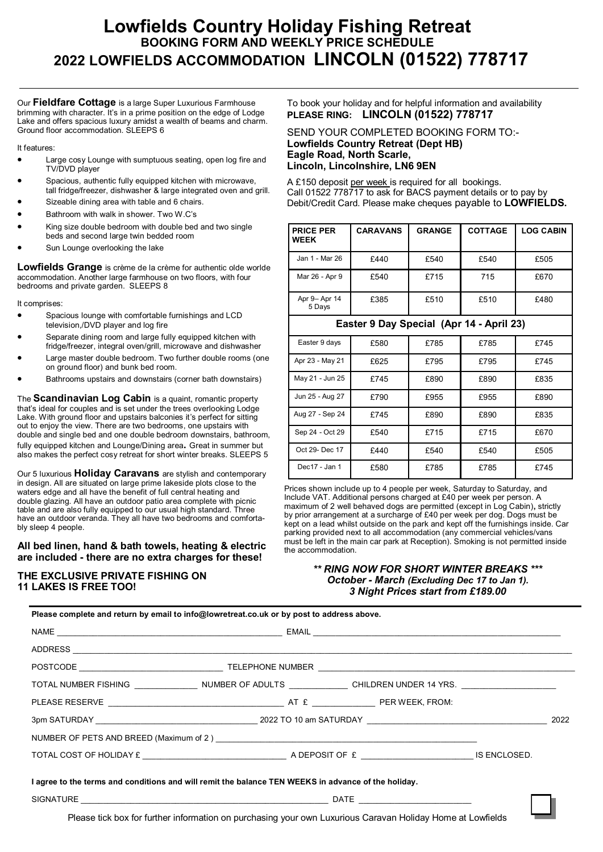# **Lowfields Country Holiday Fishing Retreat BOOKING FORM AND WEEKLY PRICE SCHEDULE 2022 LOWFIELDS ACCOMMODATION LINCOLN (01522) 778717**

Our **Fieldfare Cottage** is a large Super Luxurious Farmhouse brimming with character. It's in a prime position on the edge of Lodge Lake and offers spacious luxury amidst a wealth of beams and charm. Ground floor accommodation. SLEEPS 6

#### It features:

- Large cosy Lounge with sumptuous seating, open log fire and TV/DVD player
- Spacious, authentic fully equipped kitchen with microwave, tall fridge/freezer, dishwasher & large integrated oven and grill.
- Sizeable dining area with table and 6 chairs.
- Bathroom with walk in shower. Two W.C's
- King size double bedroom with double bed and two single beds and second large twin bedded room
- Sun Lounge overlooking the lake

**Lowfields Grange** is crème de la crème for authentic olde worlde accommodation. Another large farmhouse on two floors, with four bedrooms and private garden. SLEEPS 8

It comprises:

- Spacious lounge with comfortable furnishings and LCD television,/DVD player and log fire
- Separate dining room and large fully equipped kitchen with fridge/freezer, integral oven/grill, microwave and dishwasher
- Large master double bedroom. Two further double rooms (one on ground floor) and bunk bed room.
- Bathrooms upstairs and downstairs (corner bath downstairs)

The **Scandinavian Log Cabin** is a quaint, romantic property that's ideal for couples and is set under the trees overlooking Lodge Lake. With ground floor and upstairs balconies it's perfect for sitting out to enjoy the view. There are two bedrooms, one upstairs with double and single bed and one double bedroom downstairs, bathroom, fully equipped kitchen and Lounge/Dining area**.** Great in summer but also makes the perfect cosy retreat for short winter breaks. SLEEPS 5

Our 5 luxurious **Holiday Caravans** are stylish and contemporary in design. All are situated on large prime lakeside plots close to the waters edge and all have the benefit of full central heating and double glazing. All have an outdoor patio area complete with picnic table and are also fully equipped to our usual high standard. Three have an outdoor veranda. They all have two bedrooms and comfortably sleep 4 people.

#### **All bed linen, hand & bath towels, heating & electric are included - there are no extra charges for these!**

## **THE EXCLUSIVE PRIVATE FISHING ON 11 LAKES IS FREE TOO!**

### To book your holiday and for helpful information and availability **PLEASE RING: LINCOLN (01522) 778717**

#### SEND YOUR COMPLETED BOOKING FORM TO:- **Lowfields Country Retreat (Dept HB) Eagle Road, North Scarle, Lincoln, Lincolnshire, LN6 9EN**

A £150 deposit per week is required for all bookings. Call 01522 778717 to ask for BACS payment details or to pay by Debit/Credit Card. Please make cheques payable to **LOWFIELDS.**

| <b>PRICE PER</b><br><b>WEEK</b>          | <b>CARAVANS</b> | <b>GRANGE</b> | <b>COTTAGE</b> | <b>LOG CABIN</b> |  |  |
|------------------------------------------|-----------------|---------------|----------------|------------------|--|--|
| Jan 1 - Mar 26                           | £440            | £540          | £540           | £505             |  |  |
| Mar 26 - Apr 9                           | £540            | £715          | 715            | £670             |  |  |
| Apr 9– Apr 14<br>5 Days                  | £385            | £510          | £510           | £480             |  |  |
| Easter 9 Day Special (Apr 14 - April 23) |                 |               |                |                  |  |  |

| Easter 9 days   | £580 | £785 | £785 | £745 |
|-----------------|------|------|------|------|
| Apr 23 - May 21 | £625 | £795 | £795 | £745 |
| May 21 - Jun 25 | £745 | £890 | £890 | £835 |
| Jun 25 - Aug 27 | £790 | £955 | £955 | £890 |
| Aug 27 - Sep 24 | £745 | £890 | £890 | £835 |
| Sep 24 - Oct 29 | £540 | £715 | £715 | £670 |
| Oct 29- Dec 17  | £440 | £540 | £540 | £505 |
| Dec17 - Jan 1   | £580 | £785 | £785 | £745 |

Prices shown include up to 4 people per week, Saturday to Saturday, and Include VAT. Additional persons charged at £40 per week per person. A maximum of 2 well behaved dogs are permitted (except in Log Cabin)**,** strictly by prior arrangement at a surcharge of £40 per week per dog. Dogs must be kept on a lead whilst outside on the park and kept off the furnishings inside. Car parking provided next to all accommodation (any commercial vehicles/vans must be left in the main car park at Reception). Smoking is not permitted inside the accommodation.

### *\*\* RING NOW FOR SHORT WINTER BREAKS \*\*\* October - March (Excluding Dec 17 to Jan 1). 3 Night Prices start from £189.00*

| Please complete and return by email to info@lowretreat.co.uk or by post to address above.                      |  |  |  |  |  |  |  |  |
|----------------------------------------------------------------------------------------------------------------|--|--|--|--|--|--|--|--|
|                                                                                                                |  |  |  |  |  |  |  |  |
|                                                                                                                |  |  |  |  |  |  |  |  |
|                                                                                                                |  |  |  |  |  |  |  |  |
| TOTAL NUMBER FISHING ________________NUMBER OF ADULTS ______________ CHILDREN UNDER 14 YRS. __________________ |  |  |  |  |  |  |  |  |
|                                                                                                                |  |  |  |  |  |  |  |  |
|                                                                                                                |  |  |  |  |  |  |  |  |
|                                                                                                                |  |  |  |  |  |  |  |  |
|                                                                                                                |  |  |  |  |  |  |  |  |
| I agree to the terms and conditions and will remit the balance TEN WEEKS in advance of the holiday.            |  |  |  |  |  |  |  |  |
|                                                                                                                |  |  |  |  |  |  |  |  |
|                                                                                                                |  |  |  |  |  |  |  |  |

Please tick box for further information on purchasing your own Luxurious Caravan Holiday Home at Lowfields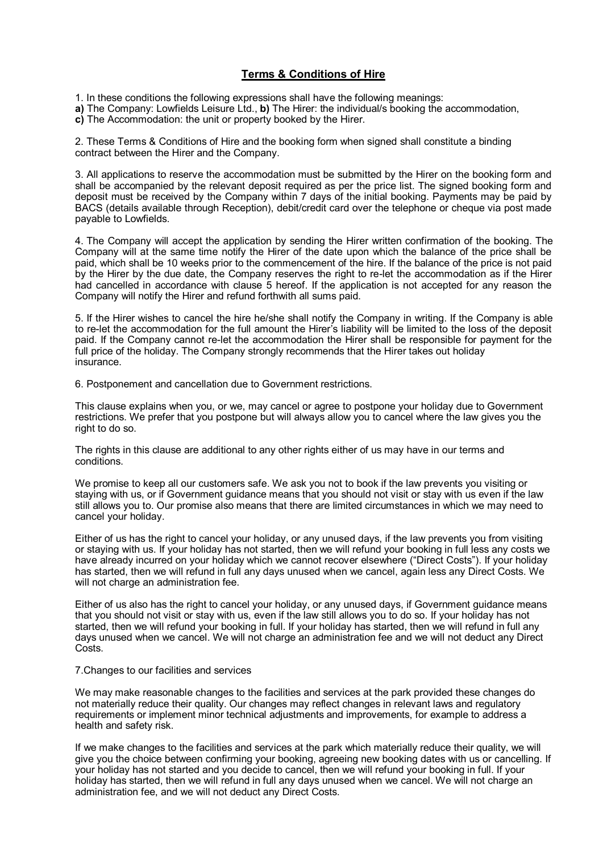## **Terms & Conditions of Hire**

1. In these conditions the following expressions shall have the following meanings:

- **a)** The Company: Lowfields Leisure Ltd., **b)** The Hirer: the individual/s booking the accommodation,
- **c)** The Accommodation: the unit or property booked by the Hirer.

2. These Terms & Conditions of Hire and the booking form when signed shall constitute a binding contract between the Hirer and the Company.

3. All applications to reserve the accommodation must be submitted by the Hirer on the booking form and shall be accompanied by the relevant deposit required as per the price list. The signed booking form and deposit must be received by the Company within 7 days of the initial booking. Payments may be paid by BACS (details available through Reception), debit/credit card over the telephone or cheque via post made payable to Lowfields.

4. The Company will accept the application by sending the Hirer written confirmation of the booking. The Company will at the same time notify the Hirer of the date upon which the balance of the price shall be paid, which shall be 10 weeks prior to the commencement of the hire. If the balance of the price is not paid by the Hirer by the due date, the Company reserves the right to re-let the accommodation as if the Hirer had cancelled in accordance with clause 5 hereof. If the application is not accepted for any reason the Company will notify the Hirer and refund forthwith all sums paid.

5. If the Hirer wishes to cancel the hire he/she shall notify the Company in writing. If the Company is able to re-let the accommodation for the full amount the Hirer's liability will be limited to the loss of the deposit paid. If the Company cannot re-let the accommodation the Hirer shall be responsible for payment for the full price of the holiday. The Company strongly recommends that the Hirer takes out holiday insurance.

6. Postponement and cancellation due to Government restrictions.

This clause explains when you, or we, may cancel or agree to postpone your holiday due to Government restrictions. We prefer that you postpone but will always allow you to cancel where the law gives you the right to do so.

The rights in this clause are additional to any other rights either of us may have in our terms and conditions.

We promise to keep all our customers safe. We ask you not to book if the law prevents you visiting or staying with us, or if Government guidance means that you should not visit or stay with us even if the law still allows you to. Our promise also means that there are limited circumstances in which we may need to cancel your holiday.

Either of us has the right to cancel your holiday, or any unused days, if the law prevents you from visiting or staying with us. If your holiday has not started, then we will refund your booking in full less any costs we have already incurred on your holiday which we cannot recover elsewhere ("Direct Costs"). If your holiday has started, then we will refund in full any days unused when we cancel, again less any Direct Costs. We will not charge an administration fee.

Either of us also has the right to cancel your holiday, or any unused days, if Government guidance means that you should not visit or stay with us, even if the law still allows you to do so. If your holiday has not started, then we will refund your booking in full. If your holiday has started, then we will refund in full any days unused when we cancel. We will not charge an administration fee and we will not deduct any Direct Costs.

#### 7.Changes to our facilities and services

We may make reasonable changes to the facilities and services at the park provided these changes do not materially reduce their quality. Our changes may reflect changes in relevant laws and regulatory requirements or implement minor technical adjustments and improvements, for example to address a health and safety risk.

If we make changes to the facilities and services at the park which materially reduce their quality, we will give you the choice between confirming your booking, agreeing new booking dates with us or cancelling. If your holiday has not started and you decide to cancel, then we will refund your booking in full. If your holiday has started, then we will refund in full any days unused when we cancel. We will not charge an administration fee, and we will not deduct any Direct Costs.